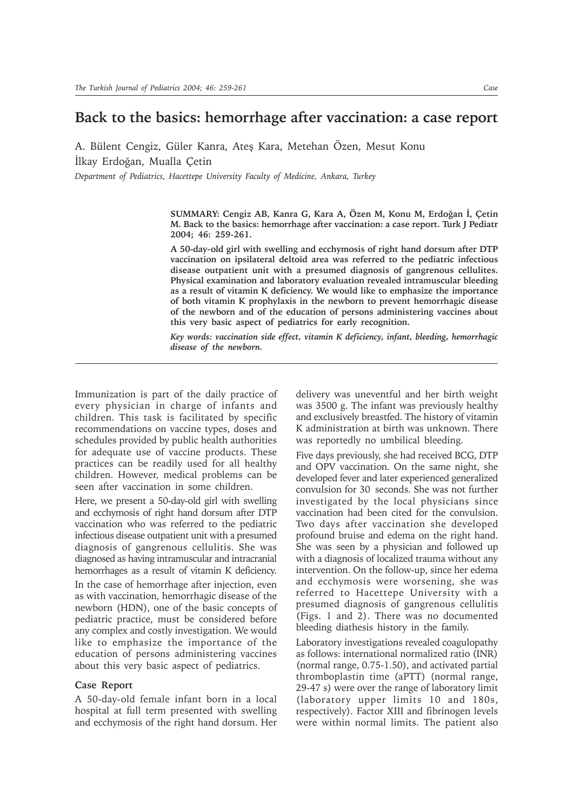## **Back to the basics: hemorrhage after vaccination: a case report**

A. Bülent Cengiz, Güler Kanra, Ates Kara, Metehan Özen, Mesut Konu İlkay Erdoğan, Mualla Çetin

*Department of Pediatrics, Hacettepe University Faculty of Medicine, Ankara, Turkey*

**SUMMARY: Cengiz AB, Kanra G, Kara A, Özen M, Konu M, Erdoðan Ý, Çetin M. Back to the basics: hemorrhage after vaccination: a case report. Turk J Pediatr 2004; 46: 259-261.**

**A 50-day-old girl with swelling and ecchymosis of right hand dorsum after DTP vaccination on ipsilateral deltoid area was referred to the pediatric infectious disease outpatient unit with a presumed diagnosis of gangrenous cellulites. Physical examination and laboratory evaluation revealed intramuscular bleeding as a result of vitamin K deficiency. We would like to emphasize the importance of both vitamin K prophylaxis in the newborn to prevent hemorrhagic disease of the newborn and of the education of persons administering vaccines about this very basic aspect of pediatrics for early recognition.**

*Key words: vaccination side effect, vitamin K deficiency, infant, bleeding, hemorrhagic disease of the newborn.*

Immunization is part of the daily practice of every physician in charge of infants and children. This task is facilitated by specific recommendations on vaccine types, doses and schedules provided by public health authorities for adequate use of vaccine products. These practices can be readily used for all healthy children. However, medical problems can be seen after vaccination in some children.

Here, we present a 50-day-old girl with swelling and ecchymosis of right hand dorsum after DTP vaccination who was referred to the pediatric infectious disease outpatient unit with a presumed diagnosis of gangrenous cellulitis. She was diagnosed as having intramuscular and intracranial hemorrhages as a result of vitamin K deficiency.

In the case of hemorrhage after injection, even as with vaccination, hemorrhagic disease of the newborn (HDN), one of the basic concepts of pediatric practice, must be considered before any complex and costly investigation. We would like to emphasize the importance of the education of persons administering vaccines about this very basic aspect of pediatrics.

## **Case Report**

A 50-day-old female infant born in a local hospital at full term presented with swelling and ecchymosis of the right hand dorsum. Her delivery was uneventful and her birth weight was 3500 g. The infant was previously healthy and exclusively breastfed. The history of vitamin K administration at birth was unknown. There was reportedly no umbilical bleeding.

Five days previously, she had received BCG, DTP and OPV vaccination. On the same night, she developed fever and later experienced generalized convulsion for 30 seconds. She was not further investigated by the local physicians since vaccination had been cited for the convulsion. Two days after vaccination she developed profound bruise and edema on the right hand. She was seen by a physician and followed up with a diagnosis of localized trauma without any intervention. On the follow-up, since her edema and ecchymosis were worsening, she was referred to Hacettepe University with a presumed diagnosis of gangrenous cellulitis (Figs. 1 and 2). There was no documented bleeding diathesis history in the family.

Laboratory investigations revealed coagulopathy as follows: international normalized ratio (INR) (normal range, 0.75-1.50), and activated partial thromboplastin time (aPTT) (normal range, 29-47 s) were over the range of laboratory limit (laboratory upper limits 10 and 180s, respectively). Factor XIII and fibrinogen levels were within normal limits. The patient also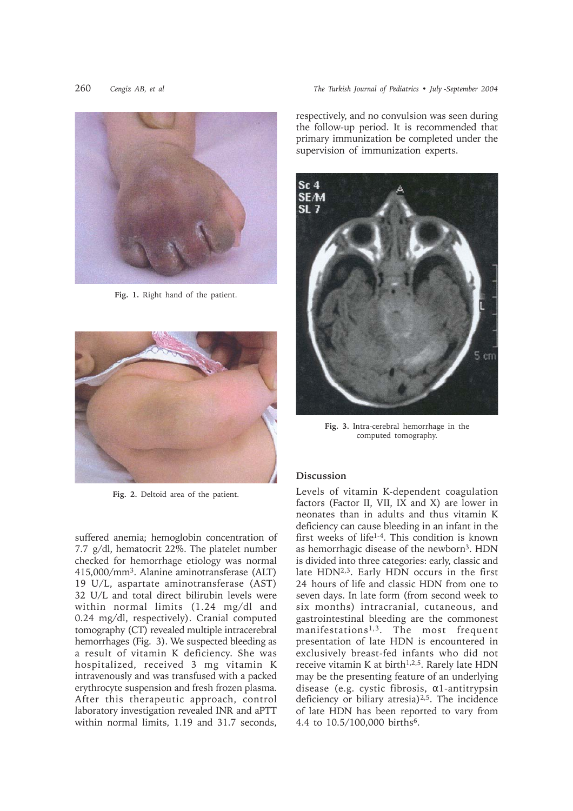

**Fig. 1.** Right hand of the patient.



**Fig. 2.** Deltoid area of the patient.

suffered anemia; hemoglobin concentration of 7.7 g/dl, hematocrit 22%. The platelet number checked for hemorrhage etiology was normal 415,000/mm3. Alanine aminotransferase (ALT) 19 U/L, aspartate aminotransferase (AST) 32 U/L and total direct bilirubin levels were within normal limits (1.24 mg/dl and 0.24 mg/dl, respectively). Cranial computed tomography (CT) revealed multiple intracerebral hemorrhages (Fig. 3). We suspected bleeding as a result of vitamin K deficiency. She was hospitalized, received 3 mg vitamin K intravenously and was transfused with a packed erythrocyte suspension and fresh frozen plasma. After this therapeutic approach, control laboratory investigation revealed INR and aPTT within normal limits, 1.19 and 31.7 seconds, respectively, and no convulsion was seen during the follow-up period. It is recommended that primary immunization be completed under the supervision of immunization experts.



**Fig. 3.** Intra-cerebral hemorrhage in the computed tomography.

## **Discussion**

Levels of vitamin K-dependent coagulation factors (Factor II, VII, IX and X) are lower in neonates than in adults and thus vitamin K deficiency can cause bleeding in an infant in the first weeks of life1-4. This condition is known as hemorrhagic disease of the newborn3. HDN is divided into three categories: early, classic and late HDN<sup>2,3</sup>. Early HDN occurs in the first 24 hours of life and classic HDN from one to seven days. In late form (from second week to six months) intracranial, cutaneous, and gastrointestinal bleeding are the commonest manifestations1,3. The most frequent presentation of late HDN is encountered in exclusively breast-fed infants who did not receive vitamin K at birth<sup>1,2,5</sup>. Rarely late HDN may be the presenting feature of an underlying disease (e.g. cystic fibrosis, α1-antitrypsin deficiency or biliary atresia)2,5. The incidence of late HDN has been reported to vary from 4.4 to 10.5/100,000 births6.